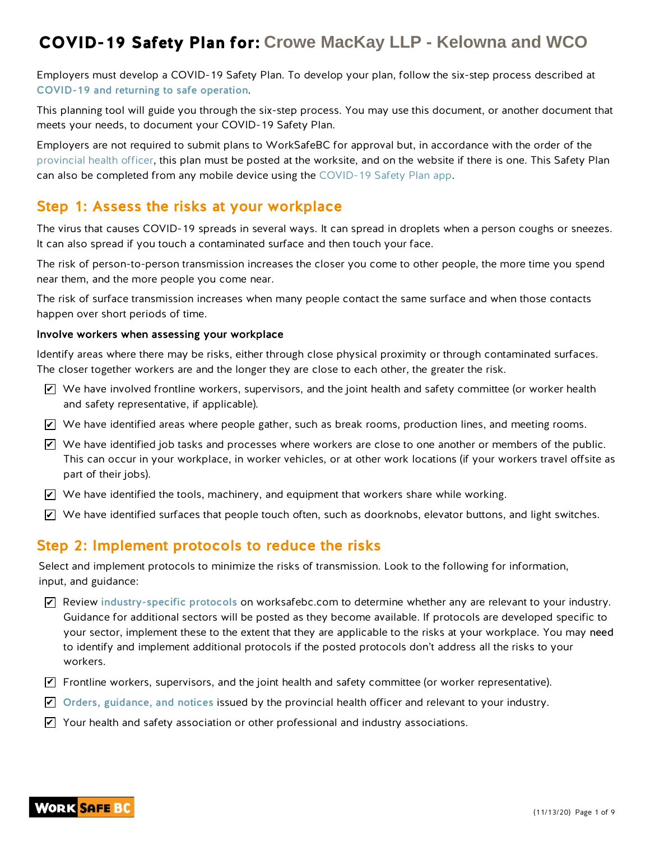Employers must develop a COVID-19 Safety Plan. To develop your plan, follow the six-step process described at COVID-19 and returning to safe operation.

This planning tool will guide you through the six-step process. You may use this document, or another document that meets your needs, to document your COVID-19 Safety Plan.

Employers are not required to submit plans to WorkSafeBC for approval but, in accordance with the order of the provincial health officer, this plan must be posted at the worksite, and on the website if there is one. This Safety Plan can also be completed from any mobile device using the COVID-19 Safety Plan app.

## Step 1: Assess the risks at your workplace

The virus that causes COVID-19 spreads in several ways. It can spread in droplets when a person coughs or sneezes. It can also spread if you touch a contaminated surface and then touch your face.

The risk of person-to-person transmission increases the closer you come to other people, the more time you spend near them, and the more people you come near.

The risk of surface transmission increases when many people contact the same surface and when those contacts happen over short periods of time.

#### Involve workers when assessing your workplace

Identify areas where there may be risks, either through close physical proximity or through contaminated surfaces. The closer together workers are and the longer they are close to each other, the greater the risk.

- $\blacktriangledown$  We have involved frontline workers, supervisors, and the joint health and safety committee (or worker health and safety representative, if applicable).
- $\blacktriangleright$  We have identified areas where people gather, such as break rooms, production lines, and meeting rooms.
- $\overline{\mathscr{L}}$  We have identified job tasks and processes where workers are close to one another or members of the public. This can occur in your workplace, in worker vehicles, or at other work locations (if your workers travel offsite as part of their jobs).
- $\blacktriangleright$  We have identified the tools, machinery, and equipment that workers share while working.
- $\blacktriangleright$  We have identified surfaces that people touch often, such as doorknobs, elevator buttons, and light switches.

### Step 2: Implement protocols to reduce the risks

Select and implement protocols to minimize the risks of transmission. Look to the following for information, input, and guidance:

- $\blacktriangleright$  Review industry-specific protocols on worksafebc.com to determine whether any are relevant to your industry. Guidance for additional sectors will be posted as they become available. If protocols are developed specific to your sector, implement these to the extent that they are applicable to the risks at your workplace. You may need to identify and implement additional protocols if the posted protocols don't address all the risks to your workers.
- $\blacktriangledown$  Frontline workers, supervisors, and the joint health and safety committee (or worker representative).
- $\blacktriangleright$  Orders, guidance, and notices issued by the provincial health officer and relevant to your industry.
- $\blacktriangleright$  Your health and safety association or other professional and industry associations.

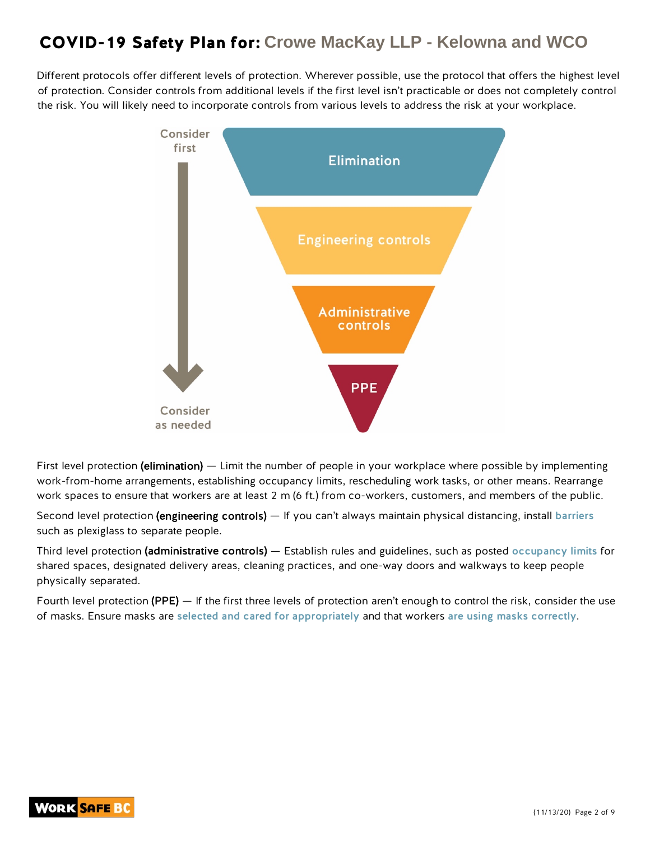Different protocols offer different levels of protection. Wherever possible, use the protocol that offers the highest level of protection. Consider controls from additional levels if the first level isn't practicable or does not completely control the risk. You will likely need to incorporate controls from various levels to address the risk at your workplace.



First level protection (elimination) — Limit the number of people in your workplace where possible by implementing work-from-home arrangements, establishing occupancy limits, rescheduling work tasks, or other means. Rearrange work spaces to ensure that workers are at least 2 m (6 ft.) from co-workers, customers, and members of the public.

Second level protection (engineering controls) — If you can't always maintain physical distancing, install barriers such as plexiglass to separate people.

Third level protection (administrative controls) — Establish rules and guidelines, such as posted occupancy limits for shared spaces, designated delivery areas, cleaning practices, and one-way doors and walkways to keep people physically separated.

Fourth level protection (PPE) — If the first three levels of protection aren't enough to control the risk, consider the use of masks. Ensure masks are selected and cared for appropriately and that workers are using masks correctly.

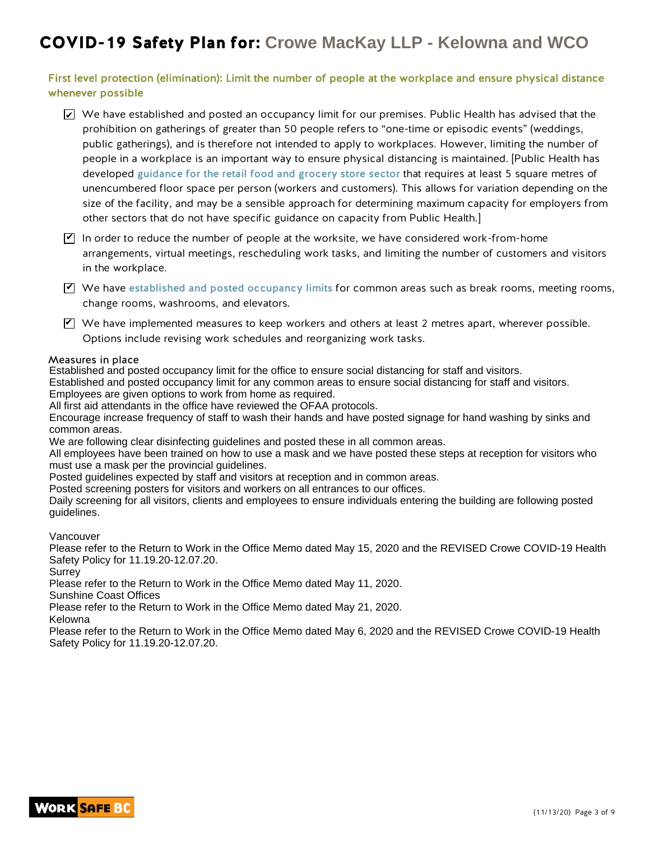First level protection (elimination): Limit the number of people at the workplace and ensure physical distance whenever possible

- $\blacktriangleright$  We have established and posted an occupancy limit for our premises. Public Health has advised that the prohibition on gatherings of greater than 50 people refers to "one-time or episodic events" (weddings, public gatherings), and is therefore not intended to apply to workplaces. However, limiting the number of people in a workplace is an important way to ensure physical distancing is maintained. [Public Health has developed guidance for the retail food and grocery store sector that requires at least 5 square metres of unencumbered floor space per person (workers and customers). This allows for variation depending on the size of the facility, and may be a sensible approach for determining maximum capacity for employers from other sectors that do not have specific guidance on capacity from Public Health.]
- $\Psi$  In order to reduce the number of people at the worksite, we have considered work-from-home arrangements, virtual meetings, rescheduling work tasks, and limiting the number of customers and visitors in the workplace.
- $\Psi$  We have established and posted occupancy limits for common areas such as break rooms, meeting rooms, change rooms, washrooms, and elevators.
- $\blacktriangledown$  We have implemented measures to keep workers and others at least 2 metres apart, wherever possible. Options include revising work schedules and reorganizing work tasks.

#### Measures in place

Established and posted occupancy limit for the office to ensure social distancing for staff and visitors.

Established and posted occupancy limit for any common areas to ensure social distancing for staff and visitors. Employees are given options to work from home as required.

All first aid attendants in the office have reviewed the OFAA protocols.

Encourage increase frequency of staff to wash their hands and have posted signage for hand washing by sinks and common areas.

We are following clear disinfecting guidelines and posted these in all common areas.

All employees have been trained on how to use a mask and we have posted these steps at reception for visitors who must use a mask per the provincial guidelines.

Posted guidelines expected by staff and visitors at reception and in common areas.

Posted screening posters for visitors and workers on all entrances to our offices.

Daily screening for all visitors, clients and employees to ensure individuals entering the building are following posted guidelines.

Vancouver

Please refer to the Return to Work in the Office Memo dated May 15, 2020 and the REVISED Crowe COVID-19 Health Safety Policy for 11.19.20-12.07.20.

Surrey

Please refer to the Return to Work in the Office Memo dated May 11, 2020.

Sunshine Coast Offices

Please refer to the Return to Work in the Office Memo dated May 21, 2020.

Kelowna

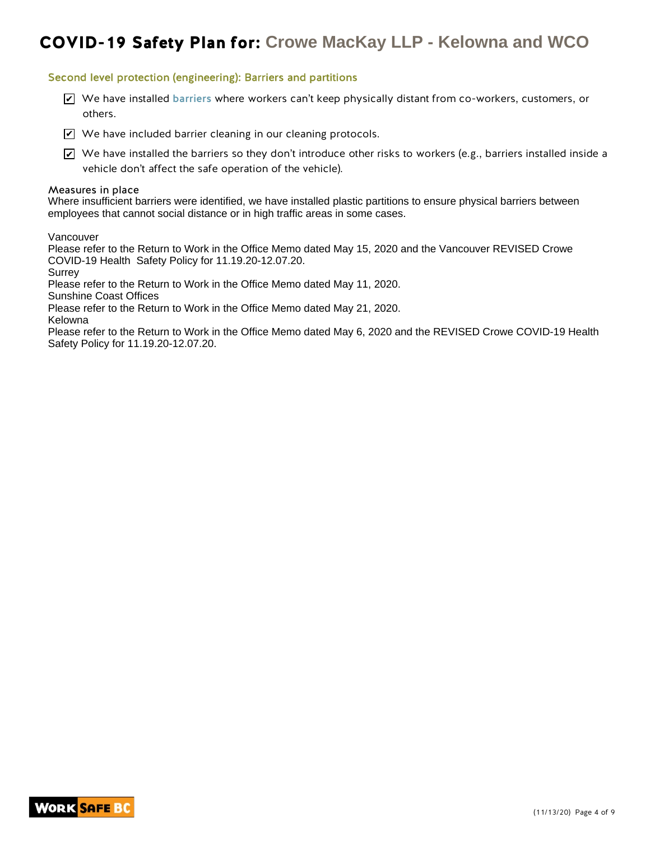#### Second level protection (engineering): Barriers and partitions

- $\blacktriangleright$  We have installed barriers where workers can't keep physically distant from co-workers, customers, or others.
- $\blacktriangleright$  We have included barrier cleaning in our cleaning protocols.

 $\blacktriangleright$  We have installed the barriers so they don't introduce other risks to workers (e.g., barriers installed inside a vehicle don't affect the safe operation of the vehicle).

#### Measures in place

Where insufficient barriers were identified, we have installed plastic partitions to ensure physical barriers between employees that cannot social distance or in high traffic areas in some cases.

Vancouver

Please refer to the Return to Work in the Office Memo dated May 15, 2020 and the Vancouver REVISED Crowe COVID-19 Health Safety Policy for 11.19.20-12.07.20.

Surrey

Please refer to the Return to Work in the Office Memo dated May 11, 2020.

Sunshine Coast Offices

Please refer to the Return to Work in the Office Memo dated May 21, 2020.

Kelowna

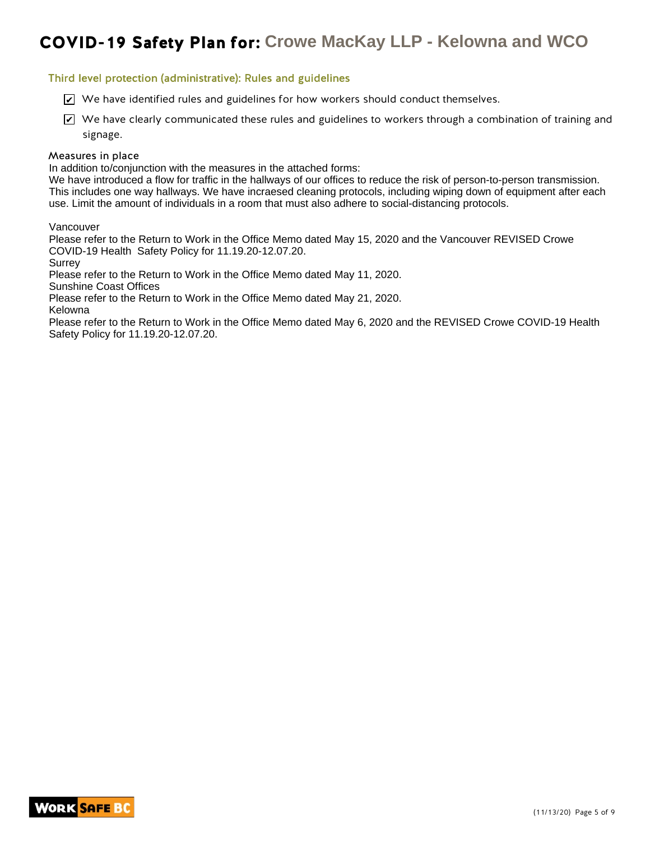#### Third level protection (administrative): Rules and guidelines

- $\blacktriangleright$  We have identified rules and guidelines for how workers should conduct themselves.
- $\blacktriangleright$  We have clearly communicated these rules and guidelines to workers through a combination of training and signage.

#### Measures in place

In addition to/conjunction with the measures in the attached forms:

We have introduced a flow for traffic in the hallways of our offices to reduce the risk of person-to-person transmission. This includes one way hallways. We have incraesed cleaning protocols, including wiping down of equipment after each use. Limit the amount of individuals in a room that must also adhere to social-distancing protocols.

Vancouver

Please refer to the Return to Work in the Office Memo dated May 15, 2020 and the Vancouver REVISED Crowe COVID-19 Health Safety Policy for 11.19.20-12.07.20.

Surrey

Please refer to the Return to Work in the Office Memo dated May 11, 2020.

Sunshine Coast Offices

Please refer to the Return to Work in the Office Memo dated May 21, 2020.

Kelowna

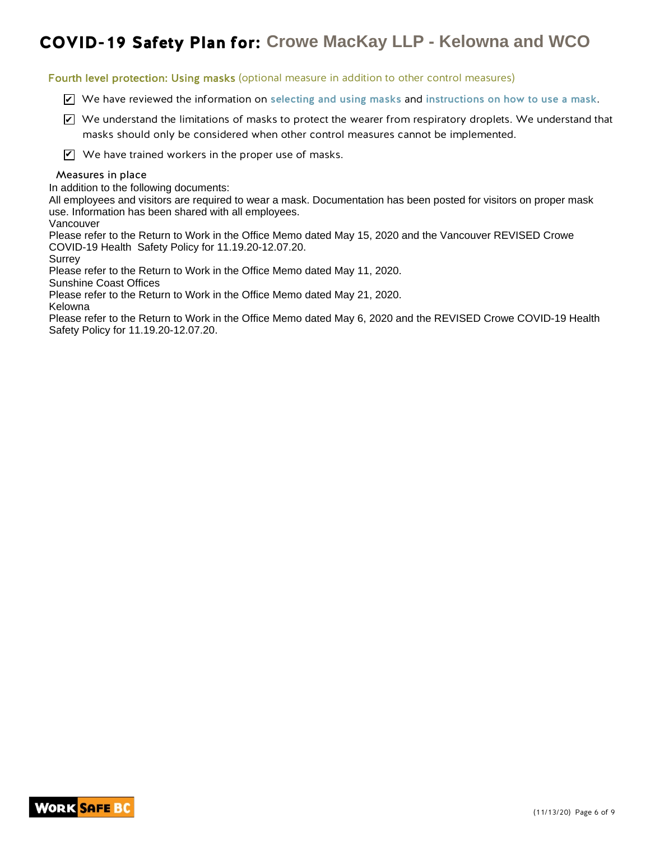Fourth level protection: Using masks (optional measure in addition to other control measures)

- $\blacktriangleright$  We have reviewed the information on selecting and using masks and instructions on how to use a mask.
- $\blacktriangleright$  We understand the limitations of masks to protect the wearer from respiratory droplets. We understand that masks should only be considered when other control measures cannot be implemented.
- $\mathbf{V}$  We have trained workers in the proper use of masks.

#### Measures in place

In addition to the following documents:

All employees and visitors are required to wear a mask. Documentation has been posted for visitors on proper mask use. Information has been shared with all employees.

Vancouver

Please refer to the Return to Work in the Office Memo dated May 15, 2020 and the Vancouver REVISED Crowe COVID-19 Health Safety Policy for 11.19.20-12.07.20.

Surrey

Please refer to the Return to Work in the Office Memo dated May 11, 2020.

Sunshine Coast Offices

Please refer to the Return to Work in the Office Memo dated May 21, 2020. Kelowna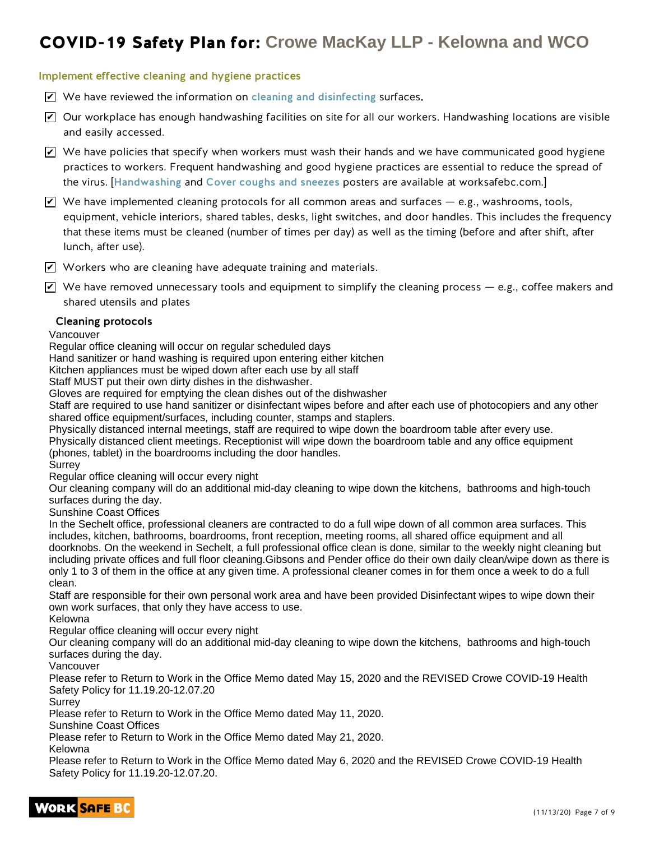#### Implement effective cleaning and hygiene practices

- $\mathbf Z$  We have reviewed the information on cleaning and disinfecting surfaces.
- $\blacktriangleright$  Our workplace has enough handwashing facilities on site for all our workers. Handwashing locations are visible and easily accessed.
- $\blacktriangleright$  We have policies that specify when workers must wash their hands and we have communicated good hygiene practices to workers. Frequent handwashing and good hygiene practices are essential to reduce the spread of the virus. [Handwashing and Cover coughs and sneezes posters are available at worksafebc.com.]
- $\blacktriangleright$  We have implemented cleaning protocols for all common areas and surfaces e.g., washrooms, tools, equipment, vehicle interiors, shared tables, desks, light switches, and door handles. This includes the frequency that these items must be cleaned (number of times per day) as well as the timing (before and after shift, after lunch, after use).
- $\blacktriangledown$  Workers who are cleaning have adequate training and materials.
- $\blacktriangledown$  We have removed unnecessary tools and equipment to simplify the cleaning process e.g., coffee makers and shared utensils and plates

#### Cleaning protocols

Vancouver

Regular office cleaning will occur on regular scheduled days

Hand sanitizer or hand washing is required upon entering either kitchen

Kitchen appliances must be wiped down after each use by all staff

Staff MUST put their own dirty dishes in the dishwasher.

Gloves are required for emptying the clean dishes out of the dishwasher

Staff are required to use hand sanitizer or disinfectant wipes before and after each use of photocopiers and any other shared office equipment/surfaces, including counter, stamps and staplers.

Physically distanced internal meetings, staff are required to wipe down the boardroom table after every use.

Physically distanced client meetings. Receptionist will wipe down the boardroom table and any office equipment (phones, tablet) in the boardrooms including the door handles.

Surrey

Regular office cleaning will occur every night

Our cleaning company will do an additional mid-day cleaning to wipe down the kitchens, bathrooms and high-touch surfaces during the day.

Sunshine Coast Offices

In the Sechelt office, professional cleaners are contracted to do a full wipe down of all common area surfaces. This includes, kitchen, bathrooms, boardrooms, front reception, meeting rooms, all shared office equipment and all doorknobs. On the weekend in Sechelt, a full professional office clean is done, similar to the weekly night cleaning but including private offices and full floor cleaning.Gibsons and Pender office do their own daily clean/wipe down as there is only 1 to 3 of them in the office at any given time. A professional cleaner comes in for them once a week to do a full clean.

Staff are responsible for their own personal work area and have been provided Disinfectant wipes to wipe down their own work surfaces, that only they have access to use.

Kelowna

Regular office cleaning will occur every night

Our cleaning company will do an additional mid-day cleaning to wipe down the kitchens, bathrooms and high-touch surfaces during the day.

Vancouver

Please refer to Return to Work in the Office Memo dated May 15, 2020 and the REVISED Crowe COVID-19 Health Safety Policy for 11.19.20-12.07.20

Surrey

Please refer to Return to Work in the Office Memo dated May 11, 2020.

Sunshine Coast Offices

Please refer to Return to Work in the Office Memo dated May 21, 2020.

Kelowna

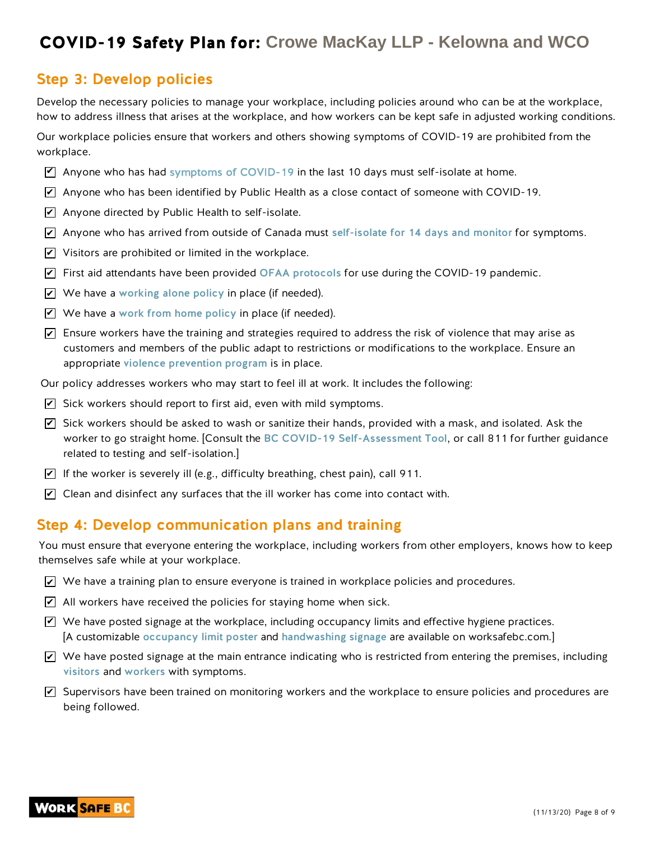### Step 3: Develop policies

Develop the necessary policies to manage your workplace, including policies around who can be at the workplace, how to address illness that arises at the workplace, and how workers can be kept safe in adjusted working conditions.

Our workplace policies ensure that workers and others showing symptoms of COVID-19 are prohibited from the workplace.

- $\blacktriangledown$  Anyone who has had symptoms of COVID-19 in the last 10 days must self-isolate at home.
- $\overline{\mathscr{L}}$  Anyone who has been identified by Public Health as a close contact of someone with COVID-19.
- $\blacktriangleright$  Anyone directed by Public Health to self-isolate.
- $\overline{\mathscr{L}}$  Anyone who has arrived from outside of Canada must self-isolate for 14 days and monitor for symptoms.
- $\blacktriangleright$  Visitors are prohibited or limited in the workplace.
- $\overline{\mathscr{L}}$  First aid attendants have been provided OFAA protocols for use during the COVID-19 pandemic.
- $\blacktriangleright$  We have a working alone policy in place (if needed).
- $\blacktriangleright$  We have a work from home policy in place (if needed).
- $\blacktriangleright$  Ensure workers have the training and strategies required to address the risk of violence that may arise as customers and members of the public adapt to restrictions or modifications to the workplace. Ensure an appropriate violence prevention program is in place.
- Our policy addresses workers who may start to feel ill at work. It includes the following:
- $\blacktriangleright$  Sick workers should report to first aid, even with mild symptoms.
- $\overline{\mathscr{L}}$  Sick workers should be asked to wash or sanitize their hands, provided with a mask, and isolated. Ask the worker to go straight home. [Consult the BC COVID-19 Self-Assessment Tool, or call 811 for further guidance related to testing and self-isolation.]
- $\blacktriangleright$  If the worker is severely ill (e.g., difficulty breathing, chest pain), call 911.
- $\blacktriangleright$  Clean and disinfect any surfaces that the ill worker has come into contact with.

### Step 4: Develop communication plans and training

You must ensure that everyone entering the workplace, including workers from other employers, knows how to keep themselves safe while at your workplace.

- $\blacktriangleright$  We have a training plan to ensure everyone is trained in workplace policies and procedures.
- $\angle$  All workers have received the policies for staying home when sick.
- $\blacktriangledown$  We have posted signage at the workplace, including occupancy limits and effective hygiene practices. [A customizable occupancy limit poster and handwashing signage are available on worksafebc.com.]
- $\blacktriangleright$  We have posted signage at the main entrance indicating who is restricted from entering the premises, including visitors and workers with symptoms.
- $\blacktriangledown$  Supervisors have been trained on monitoring workers and the workplace to ensure policies and procedures are being followed.